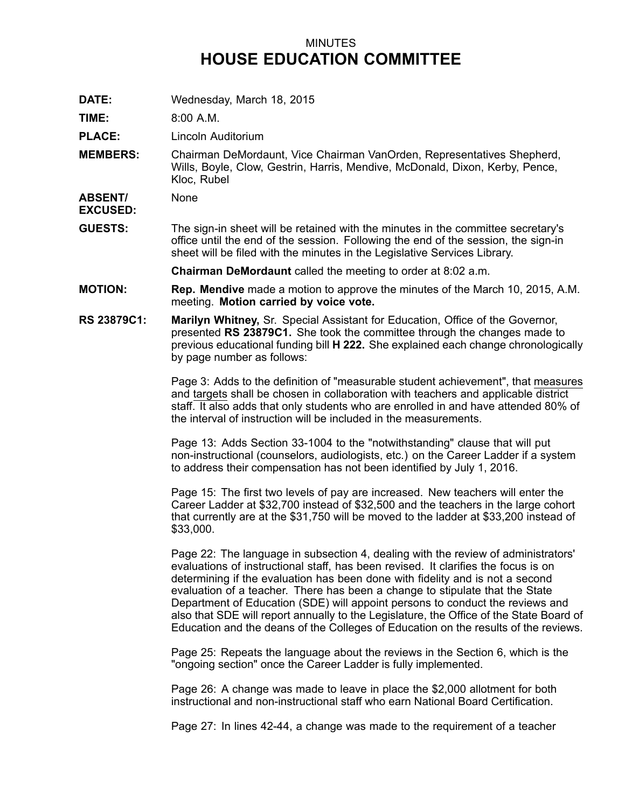## MINUTES **HOUSE EDUCATION COMMITTEE**

**DATE:** Wednesday, March 18, 2015

**TIME:** 8:00 A.M.

**PLACE:** Lincoln Auditorium

**MEMBERS:** Chairman DeMordaunt, Vice Chairman VanOrden, Representatives Shepherd, Wills, Boyle, Clow, Gestrin, Harris, Mendive, McDonald, Dixon, Kerby, Pence, Kloc, Rubel

**ABSENT/** None

**EXCUSED:**

**GUESTS:** The sign-in sheet will be retained with the minutes in the committee secretary's office until the end of the session. Following the end of the session, the sign-in sheet will be filed with the minutes in the Legislative Services Library.

**Chairman DeMordaunt** called the meeting to order at 8:02 a.m.

- **MOTION: Rep. Mendive** made <sup>a</sup> motion to approve the minutes of the March 10, 2015, A.M. meeting. **Motion carried by voice vote.**
- **RS 23879C1: Marilyn Whitney,** Sr. Special Assistant for Education, Office of the Governor, presented **RS 23879C1.** She took the committee through the changes made to previous educational funding bill **H222.** She explained each change chronologically by page number as follows:

Page 3: Adds to the definition of "measurable student achievement", that measures and targets shall be chosen in collaboration with teachers and applicable district staff. It also adds that only students who are enrolled in and have attended 80% of the interval of instruction will be included in the measurements.

Page 13: Adds Section 33-1004 to the "notwithstanding" clause that will put non-instructional (counselors, audiologists, etc.) on the Career Ladder if <sup>a</sup> system to address their compensation has not been identified by July 1, 2016.

Page 15: The first two levels of pay are increased. New teachers will enter the Career Ladder at \$32,700 instead of \$32,500 and the teachers in the large cohort that currently are at the \$31,750 will be moved to the ladder at \$33,200 instead of \$33,000.

Page 22: The language in subsection 4, dealing with the review of administrators' evaluations of instructional staff, has been revised. It clarifies the focus is on determining if the evaluation has been done with fidelity and is not <sup>a</sup> second evaluation of <sup>a</sup> teacher. There has been <sup>a</sup> change to stipulate that the State Department of Education (SDE) will appoint persons to conduct the reviews and also that SDE will report annually to the Legislature, the Office of the State Board of Education and the deans of the Colleges of Education on the results of the reviews.

Page 25: Repeats the language about the reviews in the Section 6, which is the "ongoing section" once the Career Ladder is fully implemented.

Page 26: A change was made to leave in place the \$2,000 allotment for both instructional and non-instructional staff who earn National Board Certification.

Page 27: In lines 42-44, <sup>a</sup> change was made to the requirement of <sup>a</sup> teacher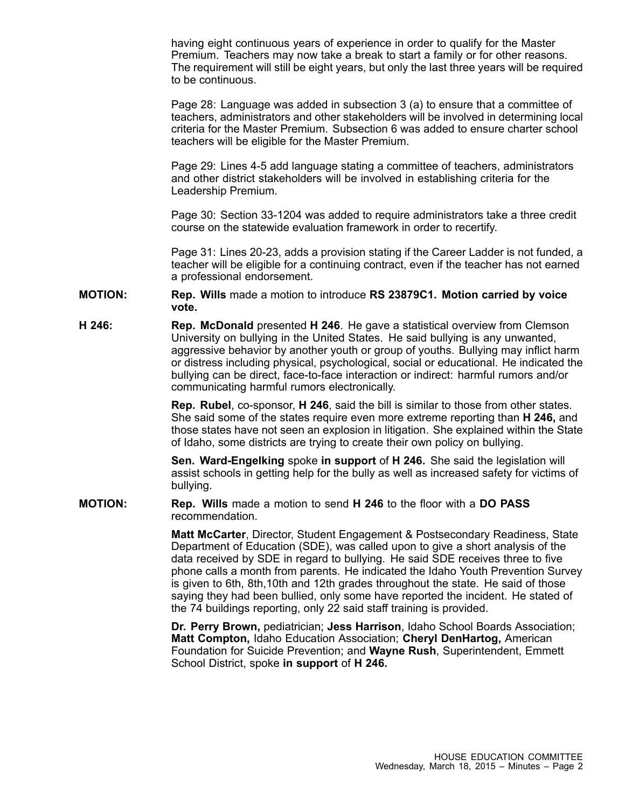having eight continuous years of experience in order to qualify for the Master Premium. Teachers may now take <sup>a</sup> break to start <sup>a</sup> family or for other reasons. The requirement will still be eight years, but only the last three years will be required to be continuous.

Page 28: Language was added in subsection 3 (a) to ensure that <sup>a</sup> committee of teachers, administrators and other stakeholders will be involved in determining local criteria for the Master Premium. Subsection 6 was added to ensure charter school teachers will be eligible for the Master Premium.

Page 29: Lines 4-5 add language stating <sup>a</sup> committee of teachers, administrators and other district stakeholders will be involved in establishing criteria for the Leadership Premium.

Page 30: Section 33-1204 was added to require administrators take <sup>a</sup> three credit course on the statewide evaluation framework in order to recertify.

Page 31: Lines 20-23, adds <sup>a</sup> provision stating if the Career Ladder is not funded, <sup>a</sup> teacher will be eligible for <sup>a</sup> continuing contract, even if the teacher has not earned <sup>a</sup> professional endorsement.

- **MOTION: Rep. Wills** made <sup>a</sup> motion to introduce **RS 23879C1. Motion carried by voice vote.**
- **H 246: Rep. McDonald** presented **H 246**. He gave <sup>a</sup> statistical overview from Clemson University on bullying in the United States. He said bullying is any unwanted, aggressive behavior by another youth or group of youths. Bullying may inflict harm or distress including physical, psychological, social or educational. He indicated the bullying can be direct, face-to-face interaction or indirect: harmful rumors and/or communicating harmful rumors electronically.

**Rep. Rubel**, co-sponsor, **H 246**, said the bill is similar to those from other states. She said some of the states require even more extreme reporting than **H 246,** and those states have not seen an explosion in litigation. She explained within the State of Idaho, some districts are trying to create their own policy on bullying.

**Sen. Ward-Engelking** spoke **in support** of **H 246.** She said the legislation will assist schools in getting help for the bully as well as increased safety for victims of bullying.

**MOTION: Rep. Wills** made <sup>a</sup> motion to send **H 246** to the floor with <sup>a</sup> **DO PASS** recommendation.

> **Matt McCarter**, Director, Student Engagement & Postsecondary Readiness, State Department of Education (SDE), was called upon to give <sup>a</sup> short analysis of the data received by SDE in regard to bullying. He said SDE receives three to five phone calls <sup>a</sup> month from parents. He indicated the Idaho Youth Prevention Survey is given to 6th, 8th,10th and 12th grades throughout the state. He said of those saying they had been bullied, only some have reported the incident. He stated of the 74 buildings reporting, only 22 said staff training is provided.

**Dr. Perry Brown,** pediatrician; **Jess Harrison**, Idaho School Boards Association; **Matt Compton,** Idaho Education Association; **Cheryl DenHartog,** American Foundation for Suicide Prevention; and **Wayne Rush**, Superintendent, Emmett School District, spoke **in support** of **H 246.**